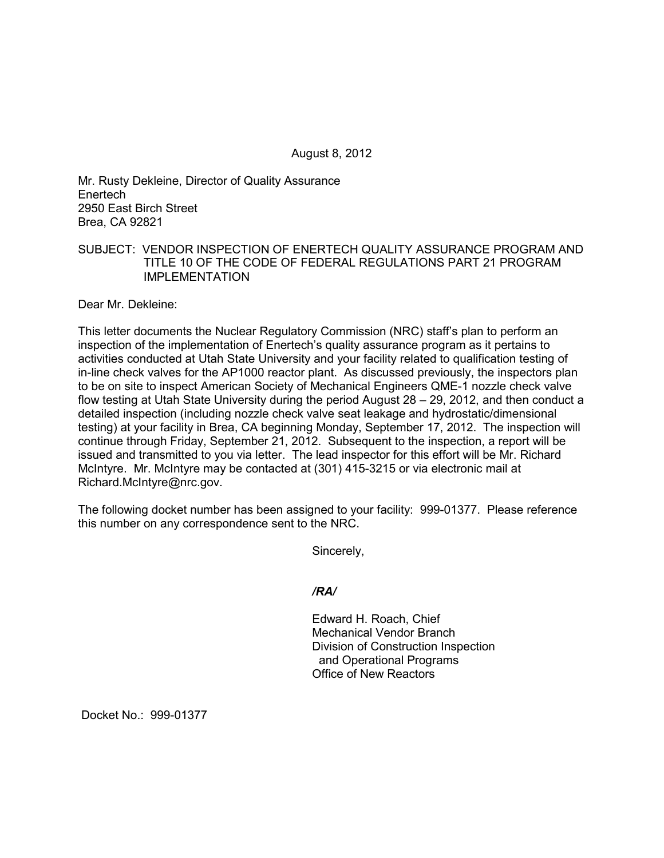August 8, 2012

Mr. Rusty Dekleine, Director of Quality Assurance Enertech 2950 East Birch Street Brea, CA 92821

## SUBJECT: VENDOR INSPECTION OF ENERTECH QUALITY ASSURANCE PROGRAM AND TITLE 10 OF THE CODE OF FEDERAL REGULATIONS PART 21 PROGRAM IMPLEMENTATION

Dear Mr. Dekleine:

This letter documents the Nuclear Regulatory Commission (NRC) staff's plan to perform an inspection of the implementation of Enertech's quality assurance program as it pertains to activities conducted at Utah State University and your facility related to qualification testing of in-line check valves for the AP1000 reactor plant. As discussed previously, the inspectors plan to be on site to inspect American Society of Mechanical Engineers QME-1 nozzle check valve flow testing at Utah State University during the period August 28 – 29, 2012, and then conduct a detailed inspection (including nozzle check valve seat leakage and hydrostatic/dimensional testing) at your facility in Brea, CA beginning Monday, September 17, 2012. The inspection will continue through Friday, September 21, 2012. Subsequent to the inspection, a report will be issued and transmitted to you via letter. The lead inspector for this effort will be Mr. Richard McIntyre. Mr. McIntyre may be contacted at (301) 415-3215 or via electronic mail at Richard.McIntyre@nrc.gov.

The following docket number has been assigned to your facility: 999-01377. Please reference this number on any correspondence sent to the NRC.

Sincerely,

*/RA/* 

Edward H. Roach, Chief Mechanical Vendor Branch Division of Construction Inspection and Operational Programs Office of New Reactors

Docket No.: 999-01377